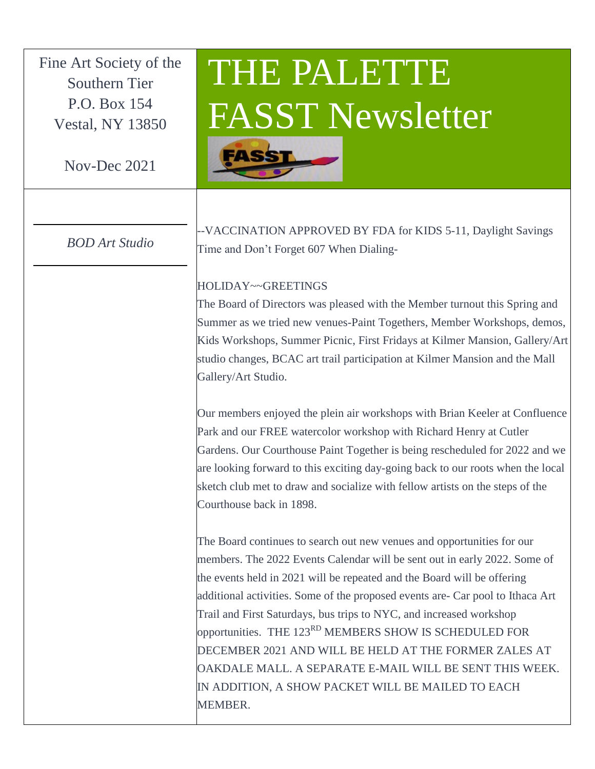Fine Art Society of the Southern Tier P.O. Box 154 Vestal, NY 13850

Nov-Dec 2021

## *BOD Art Studio*

## THE PALETTE FASST Newsletter



--VACCINATION APPROVED BY FDA for KIDS 5-11, Daylight Savings Time and Don't Forget 607 When Dialing-

## HOLIDAY~~GREETINGS

The Board of Directors was pleased with the Member turnout this Spring and Summer as we tried new venues-Paint Togethers, Member Workshops, demos, Kids Workshops, Summer Picnic, First Fridays at Kilmer Mansion, Gallery/Art studio changes, BCAC art trail participation at Kilmer Mansion and the Mall Gallery/Art Studio.

Our members enjoyed the plein air workshops with Brian Keeler at Confluence Park and our FREE watercolor workshop with Richard Henry at Cutler Gardens. Our Courthouse Paint Together is being rescheduled for 2022 and we are looking forward to this exciting day-going back to our roots when the local sketch club met to draw and socialize with fellow artists on the steps of the Courthouse back in 1898.

The Board continues to search out new venues and opportunities for our members. The 2022 Events Calendar will be sent out in early 2022. Some of the events held in 2021 will be repeated and the Board will be offering additional activities. Some of the proposed events are- Car pool to Ithaca Art Trail and First Saturdays, bus trips to NYC, and increased workshop opportunities. THE 123<sup>RD</sup> MEMBERS SHOW IS SCHEDULED FOR DECEMBER 2021 AND WILL BE HELD AT THE FORMER ZALES AT OAKDALE MALL. A SEPARATE E-MAIL WILL BE SENT THIS WEEK. IN ADDITION, A SHOW PACKET WILL BE MAILED TO EACH MEMBER.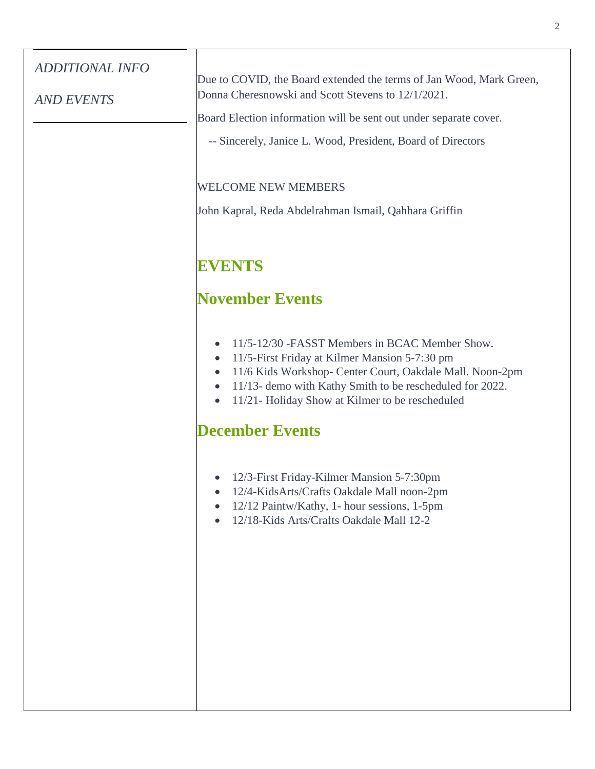| <b>ADDITIONAL INFO</b> | Due to COVID, the Board extended the terms of Jan Wood, Mark Green,<br>Donna Cheresnowski and Scott Stevens to 12/1/2021.                                                                                                                                                                                                                    |
|------------------------|----------------------------------------------------------------------------------------------------------------------------------------------------------------------------------------------------------------------------------------------------------------------------------------------------------------------------------------------|
| <b>AND EVENTS</b>      | Board Election information will be sent out under separate cover.                                                                                                                                                                                                                                                                            |
|                        | -- Sincerely, Janice L. Wood, President, Board of Directors                                                                                                                                                                                                                                                                                  |
|                        |                                                                                                                                                                                                                                                                                                                                              |
|                        | <b>WELCOME NEW MEMBERS</b>                                                                                                                                                                                                                                                                                                                   |
|                        | John Kapral, Reda Abdelrahman Ismail, Qahhara Griffin                                                                                                                                                                                                                                                                                        |
|                        | <b>EVENTS</b>                                                                                                                                                                                                                                                                                                                                |
|                        | <b>November Events</b>                                                                                                                                                                                                                                                                                                                       |
|                        | 11/5-12/30 - FASST Members in BCAC Member Show.<br>$\bullet$<br>11/5-First Friday at Kilmer Mansion 5-7:30 pm<br>$\bullet$<br>11/6 Kids Workshop- Center Court, Oakdale Mall. Noon-2pm<br>$\bullet$<br>11/13- demo with Kathy Smith to be rescheduled for 2022.<br>$\bullet$<br>11/21- Holiday Show at Kilmer to be rescheduled<br>$\bullet$ |
|                        | <b>December Events</b>                                                                                                                                                                                                                                                                                                                       |
|                        | 12/3-First Friday-Kilmer Mansion 5-7:30pm<br>12/4-KidsArts/Crafts Oakdale Mall noon-2pm<br>$\bullet$<br>12/12 Paintw/Kathy, 1- hour sessions, 1-5pm<br>$\bullet$<br>12/18-Kids Arts/Crafts Oakdale Mall 12-2<br>$\bullet$                                                                                                                    |
|                        |                                                                                                                                                                                                                                                                                                                                              |

2